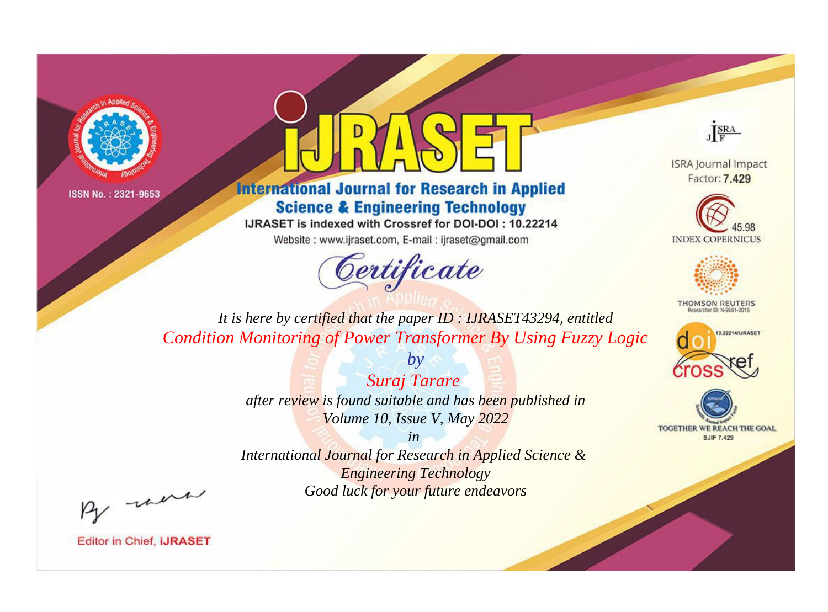



**International Journal for Research in Applied Science & Engineering Technology** 

IJRASET is indexed with Crossref for DOI-DOI: 10.22214

Website: www.ijraset.com, E-mail: ijraset@gmail.com



JERA

**ISRA Journal Impact** Factor: 7.429





**THOMSON REUTERS** 



TOGETHER WE REACH THE GOAL **SJIF 7.429** 

*It is here by certified that the paper ID : IJRASET43294, entitled Condition Monitoring of Power Transformer By Using Fuzzy Logic*

> *by Suraj Tarare after review is found suitable and has been published in Volume 10, Issue V, May 2022*

> > *in*

*International Journal for Research in Applied Science & Engineering Technology Good luck for your future endeavors*

By morn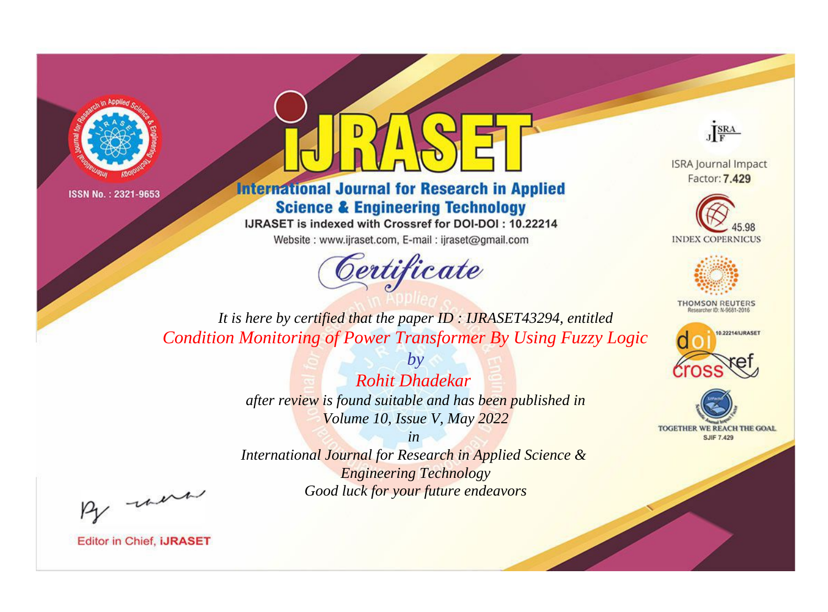



**International Journal for Research in Applied Science & Engineering Technology** 

IJRASET is indexed with Crossref for DOI-DOI: 10.22214

Website: www.ijraset.com, E-mail: ijraset@gmail.com



JERA

**ISRA Journal Impact** Factor: 7.429





**THOMSON REUTERS** 



TOGETHER WE REACH THE GOAL **SJIF 7.429** 

*It is here by certified that the paper ID : IJRASET43294, entitled Condition Monitoring of Power Transformer By Using Fuzzy Logic*

> *Rohit Dhadekar after review is found suitable and has been published in Volume 10, Issue V, May 2022*

*by*

*in* 

*International Journal for Research in Applied Science & Engineering Technology Good luck for your future endeavors*

By morn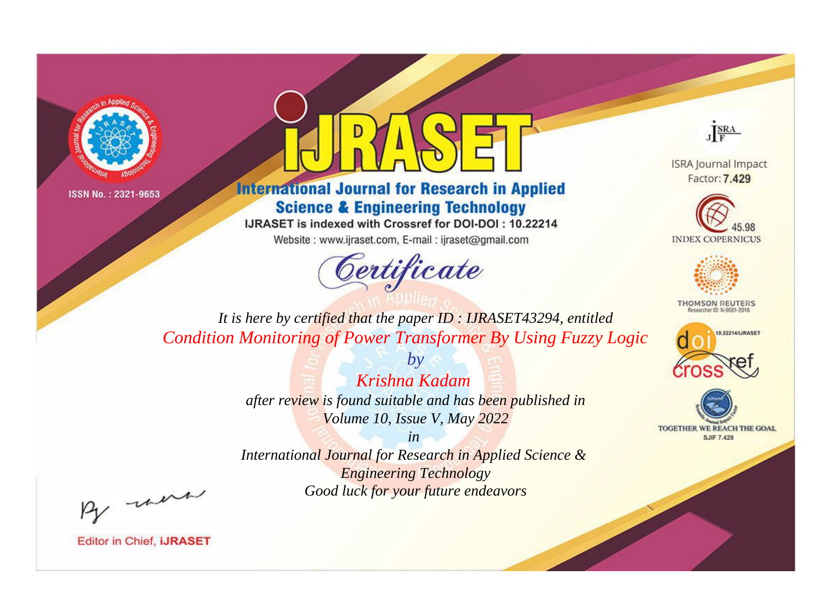



**International Journal for Research in Applied Science & Engineering Technology** 

IJRASET is indexed with Crossref for DOI-DOI: 10.22214

Website: www.ijraset.com, E-mail: ijraset@gmail.com



JERA

**ISRA Journal Impact** Factor: 7.429





**THOMSON REUTERS** 



TOGETHER WE REACH THE GOAL **SJIF 7.429** 

*It is here by certified that the paper ID : IJRASET43294, entitled Condition Monitoring of Power Transformer By Using Fuzzy Logic*

> *by Krishna Kadam after review is found suitable and has been published in Volume 10, Issue V, May 2022*

> > *in*

*International Journal for Research in Applied Science & Engineering Technology Good luck for your future endeavors*

By morn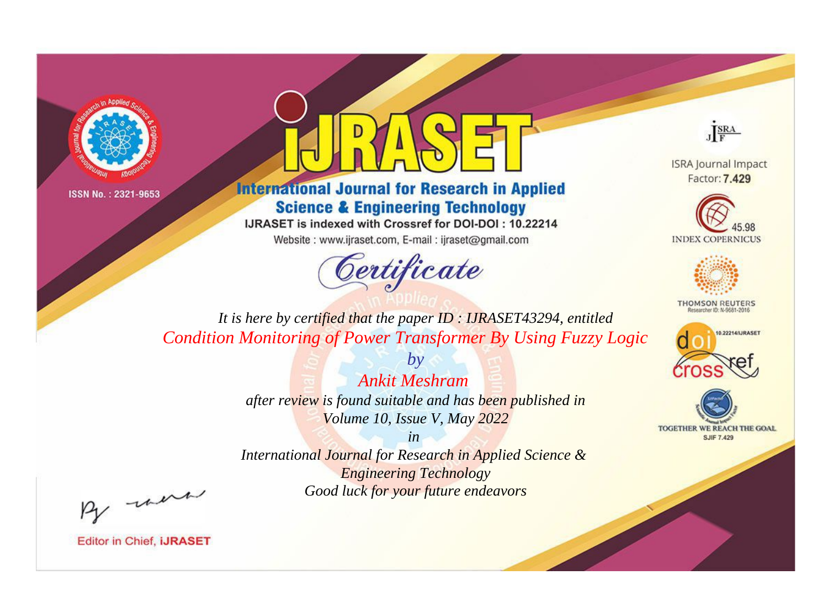



**International Journal for Research in Applied Science & Engineering Technology** 

IJRASET is indexed with Crossref for DOI-DOI: 10.22214

Website: www.ijraset.com, E-mail: ijraset@gmail.com



JERA

**ISRA Journal Impact** Factor: 7.429





**THOMSON REUTERS** 



TOGETHER WE REACH THE GOAL **SJIF 7.429** 

*It is here by certified that the paper ID : IJRASET43294, entitled Condition Monitoring of Power Transformer By Using Fuzzy Logic*

> *Ankit Meshram after review is found suitable and has been published in Volume 10, Issue V, May 2022*

*by*

*in* 

*International Journal for Research in Applied Science & Engineering Technology Good luck for your future endeavors*

By morn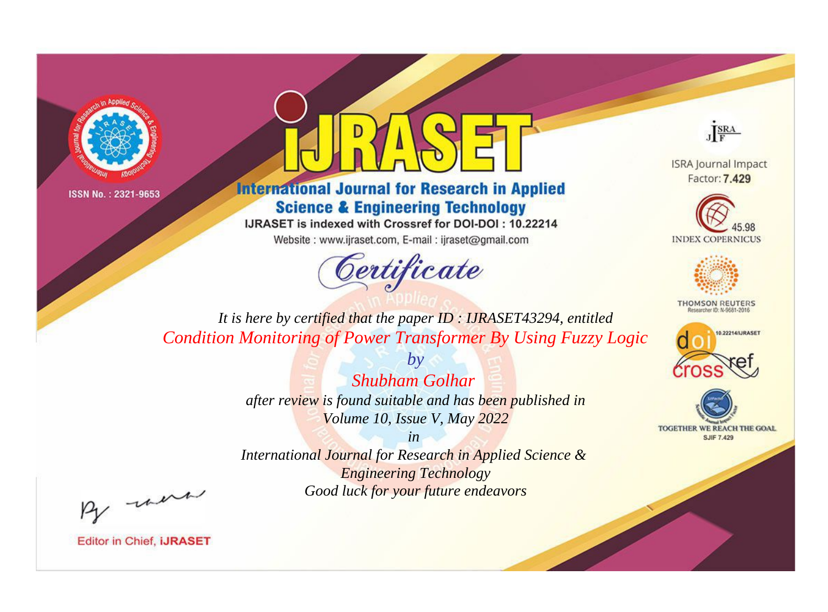



**International Journal for Research in Applied Science & Engineering Technology** 

IJRASET is indexed with Crossref for DOI-DOI: 10.22214

Website: www.ijraset.com, E-mail: ijraset@gmail.com



JERA

**ISRA Journal Impact** Factor: 7.429





**THOMSON REUTERS** 



TOGETHER WE REACH THE GOAL **SJIF 7.429** 

*It is here by certified that the paper ID : IJRASET43294, entitled Condition Monitoring of Power Transformer By Using Fuzzy Logic*

> *by Shubham Golhar after review is found suitable and has been published in Volume 10, Issue V, May 2022*

> > *in*

*International Journal for Research in Applied Science & Engineering Technology Good luck for your future endeavors*

By morn